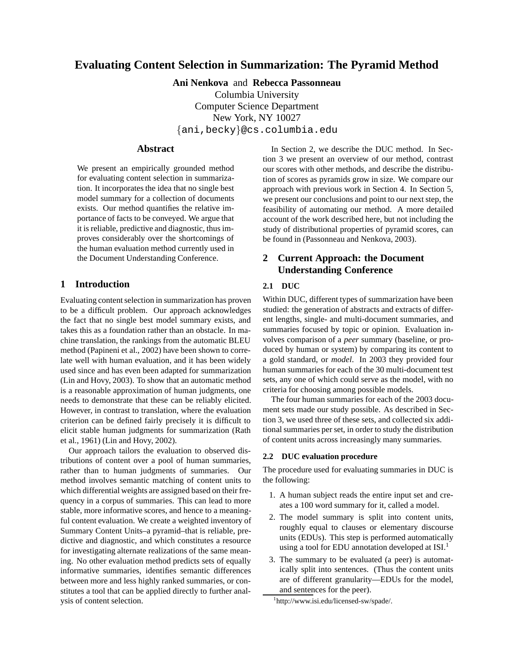# **Evaluating Content Selection in Summarization: The Pyramid Method**

**Ani Nenkova** and **Rebecca Passonneau**

Columbia University Computer Science Department New York, NY 10027 {ani,becky}@cs.columbia.edu

## **Abstract**

We present an empirically grounded method for evaluating content selection in summarization. It incorporates the idea that no single best model summary for a collection of documents exists. Our method quantifies the relative importance of facts to be conveyed. We argue that it is reliable, predictive and diagnostic, thus improves considerably over the shortcomings of the human evaluation method currently used in the Document Understanding Conference.

## **1 Introduction**

Evaluating content selection in summarization has proven to be a difficult problem. Our approach acknowledges the fact that no single best model summary exists, and takes this as a foundation rather than an obstacle. In machine translation, the rankings from the automatic BLEU method (Papineni et al., 2002) have been shown to correlate well with human evaluation, and it has been widely used since and has even been adapted for summarization (Lin and Hovy, 2003). To show that an automatic method is a reasonable approximation of human judgments, one needs to demonstrate that these can be reliably elicited. However, in contrast to translation, where the evaluation criterion can be defined fairly precisely it is difficult to elicit stable human judgments for summarization (Rath et al., 1961) (Lin and Hovy, 2002).

Our approach tailors the evaluation to observed distributions of content over a pool of human summaries, rather than to human judgments of summaries. Our method involves semantic matching of content units to which differential weights are assigned based on their frequency in a corpus of summaries. This can lead to more stable, more informative scores, and hence to a meaningful content evaluation. We create a weighted inventory of Summary Content Units–a pyramid–that is reliable, predictive and diagnostic, and which constitutes a resource for investigating alternate realizations of the same meaning. No other evaluation method predicts sets of equally informative summaries, identifies semantic differences between more and less highly ranked summaries, or constitutes a tool that can be applied directly to further analysis of content selection.

In Section 2, we describe the DUC method. In Section 3 we present an overview of our method, contrast our scores with other methods, and describe the distribution of scores as pyramids grow in size. We compare our approach with previous work in Section 4. In Section 5, we present our conclusions and point to our next step, the feasibility of automating our method. A more detailed account of the work described here, but not including the study of distributional properties of pyramid scores, can be found in (Passonneau and Nenkova, 2003).

## **2 Current Approach: the Document Understanding Conference**

## **2.1 DUC**

Within DUC, different types of summarization have been studied: the generation of abstracts and extracts of different lengths, single- and multi-document summaries, and summaries focused by topic or opinion. Evaluation involves comparison of a *peer* summary (baseline, or produced by human or system) by comparing its content to a gold standard, or *model*. In 2003 they provided four human summaries for each of the 30 multi-document test sets, any one of which could serve as the model, with no criteria for choosing among possible models.

The four human summaries for each of the 2003 document sets made our study possible. As described in Section 3, we used three of these sets, and collected six additional summaries per set, in order to study the distribution of content units across increasingly many summaries.

### **2.2 DUC evaluation procedure**

The procedure used for evaluating summaries in DUC is the following:

- 1. A human subject reads the entire input set and creates a 100 word summary for it, called a model.
- 2. The model summary is split into content units, roughly equal to clauses or elementary discourse units (EDUs). This step is performed automatically using a tool for EDU annotation developed at ISI.<sup>1</sup>
- 3. The summary to be evaluated (a peer) is automatically split into sentences. (Thus the content units are of different granularity—EDUs for the model, and sentences for the peer).

<sup>1</sup> http://www.isi.edu/licensed-sw/spade/.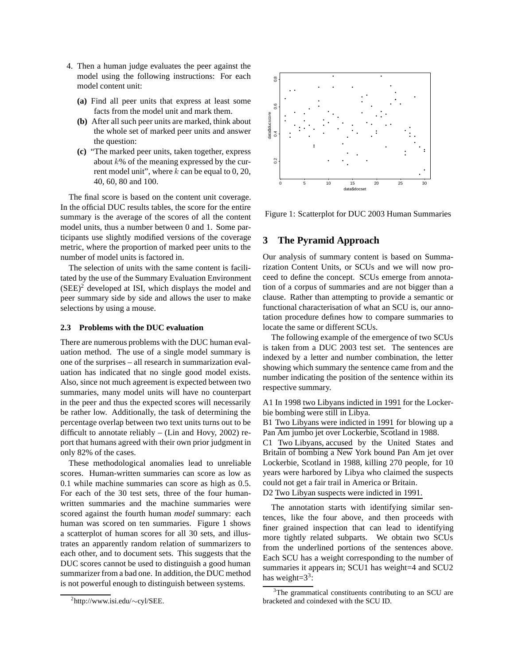- 4. Then a human judge evaluates the peer against the model using the following instructions: For each model content unit:
	- **(a)** Find all peer units that express at least some facts from the model unit and mark them.
	- **(b)** After all such peer units are marked, think about the whole set of marked peer units and answer the question:
	- **(c)** "The marked peer units, taken together, express about  $k\%$  of the meaning expressed by the current model unit", where  $k$  can be equal to 0, 20, 40, 60, 80 and 100.

The final score is based on the content unit coverage. In the official DUC results tables, the score for the entire summary is the average of the scores of all the content model units, thus a number between 0 and 1. Some participants use slightly modified versions of the coverage metric, where the proportion of marked peer units to the number of model units is factored in.

The selection of units with the same content is facilitated by the use of the Summary Evaluation Environment  $(SEE)^2$  developed at ISI, which displays the model and peer summary side by side and allows the user to make selections by using a mouse.

### **2.3 Problems with the DUC evaluation**

There are numerous problems with the DUC human evaluation method. The use of a single model summary is one of the surprises – all research in summarization evaluation has indicated that no single good model exists. Also, since not much agreement is expected between two summaries, many model units will have no counterpart in the peer and thus the expected scores will necessarily be rather low. Additionally, the task of determining the percentage overlap between two text units turns out to be difficult to annotate reliably – (Lin and Hovy, 2002) report that humans agreed with their own prior judgment in only 82% of the cases.

These methodological anomalies lead to unreliable scores. Human-written summaries can score as low as 0.1 while machine summaries can score as high as 0.5. For each of the 30 test sets, three of the four humanwritten summaries and the machine summaries were scored against the fourth human *model* summary: each human was scored on ten summaries. Figure 1 shows a scatterplot of human scores for all 30 sets, and illustrates an apparently random relation of summarizers to each other, and to document sets. This suggests that the DUC scores cannot be used to distinguish a good human summarizer from a bad one. In addition, the DUC method is not powerful enough to distinguish between systems.



Figure 1: Scatterplot for DUC 2003 Human Summaries

### **3 The Pyramid Approach**

Our analysis of summary content is based on Summarization Content Units, or SCUs and we will now proceed to define the concept. SCUs emerge from annotation of a corpus of summaries and are not bigger than a clause. Rather than attempting to provide a semantic or functional characterisation of what an SCU is, our annotation procedure defines how to compare summaries to locate the same or different SCUs.

The following example of the emergence of two SCUs is taken from a DUC 2003 test set. The sentences are indexed by a letter and number combination, the letter showing which summary the sentence came from and the number indicating the position of the sentence within its respective summary.

A1 In 1998 two Libyans indicted in 1991 for the Lockerbie bombing were still in Libya.

B1 Two Libyans were indicted in 1991 for blowing up a Pan Am jumbo jet over Lockerbie, Scotland in 1988.

C1 Two Libyans, accused by the United States and Britain of bombing a New York bound Pan Am jet over Lockerbie, Scotland in 1988, killing 270 people, for 10 years were harbored by Libya who claimed the suspects could not get a fair trail in America or Britain. D2 Two Libyan suspects were indicted in 1991.

The annotation starts with identifying similar sentences, like the four above, and then proceeds with finer grained inspection that can lead to identifying more tightly related subparts. We obtain two SCUs from the underlined portions of the sentences above. Each SCU has a weight corresponding to the number of summaries it appears in; SCU1 has weight=4 and SCU2 has weight= $3^3$ :

<sup>2</sup> http://www.isi.edu/∼cyl/SEE.

<sup>&</sup>lt;sup>3</sup>The grammatical constituents contributing to an SCU are bracketed and coindexed with the SCU ID.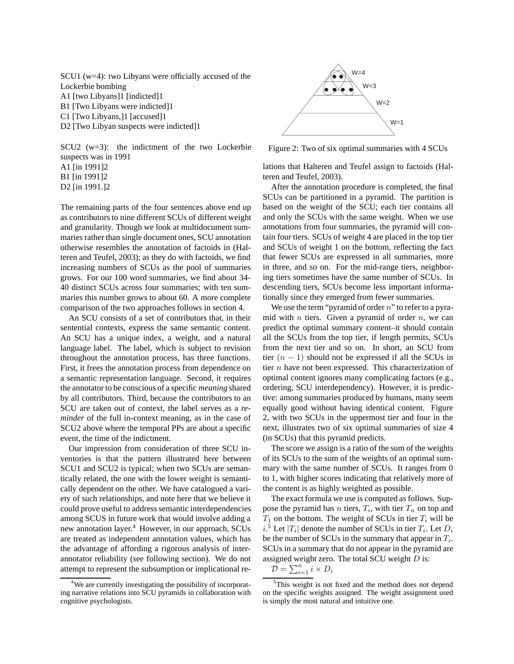SCU1 (w=4): two Libyans were officially accused of the Lockerbie bombing A1 [two Libyans]1 [indicted]1 B1 [Two Libyans were indicted]1 C1 [Two Libyans,]1 [accused]1

D2 [Two Libyan suspects were indicted]1

SCU2 (w=3): the indictment of the two Lockerbie suspects was in 1991 A1 [in 1991]2 B1 [in 1991]2 D2 [in 1991.]2

The remaining parts of the four sentences above end up as contributors to nine different SCUs of different weight and granularity. Though we look at multidocument summaries rather than single document ones, SCU annotation otherwise resembles the annotation of factoids in (Halteren and Teufel, 2003); as they do with factoids, we find increasing numbers of SCUs as the pool of summaries grows. For our 100 word summaries, we find about 34- 40 distinct SCUs across four summaries; with ten summaries this number grows to about 60. A more complete comparison of the two approaches follows in section 4.

An SCU consists of a set of contributors that, in their sentential contexts, express the same semantic content. An SCU has a unique index, a weight, and a natural language label. The label, which is subject to revision throughout the annotation process, has three functions. First, it frees the annotation process from dependence on a semantic representation language. Second, it requires the annotator to be conscious of a specific *meaning* shared by all contributors. Third, because the contributors to an SCU are taken out of context, the label serves as a *reminder* of the full in-context meaning, as in the case of SCU2 above where the temporal PPs are about a specific event, the time of the indictment.

Our impression from consideration of three SCU inventories is that the pattern illustrated here between SCU1 and SCU2 is typical; when two SCUs are semantically related, the one with the lower weight is semantically dependent on the other. We have catalogued a variety of such relationships, and note here that we believe it could prove useful to address semantic interdependencies among SCUS in future work that would involve adding a new annotation layer.<sup>4</sup> However, in our approach, SCUs are treated as independent annotation values, which has the advantage of affording a rigorous analysis of interannotator reliability (see following section). We do not attempt to represent the subsumption or implicational re-



Figure 2: Two of six optimal summaries with 4 SCUs

lations that Halteren and Teufel assign to factoids (Halteren and Teufel, 2003).

After the annotation procedure is completed, the final SCUs can be partitioned in a pyramid. The partition is based on the weight of the SCU; each tier contains all and only the SCUs with the same weight. When we use annotations from four summaries, the pyramid will contain four tiers. SCUs of weight 4 are placed in the top tier and SCUs of weight 1 on the bottom, reflecting the fact that fewer SCUs are expressed in all summaries, more in three, and so on. For the mid-range tiers, neighboring tiers sometimes have the same number of SCUs. In descending tiers, SCUs become less important informationally since they emerged from fewer summaries.

We use the term "pyramid of order  $n$ " to refer to a pyramid with  $n$  tiers. Given a pyramid of order  $n$ , we can predict the optimal summary content–it should contain all the SCUs from the top tier, if length permits, SCUs from the next tier and so on. In short, an SCU from tier  $(n - 1)$  should not be expressed if all the SCUs in tier  $n$  have not been expressed. This characterization of optimal content ignores many complicating factors (e.g., ordering, SCU interdependency). However, it is predictive: among summaries produced by humans, many seem equally good without having identical content. Figure 2, with two SCUs in the uppermost tier and four in the next, illustrates two of six optimal summaries of size 4 (in SCUs) that this pyramid predicts.

The score we assign is a ratio of the sum of the weights of its SCUs to the sum of the weights of an optimal summary with the same number of SCUs. It ranges from 0 to 1, with higher scores indicating that relatively more of the content is as highly weighted as possible.

The exact formula we use is computed as follows. Suppose the pyramid has *n* tiers,  $T_i$ , with tier  $T_n$  on top and  $T_1$  on the bottom. The weight of SCUs in tier  $T_i$  will be  $i$ .<sup>5</sup> Let  $|T_i|$  denote the number of SCUs in tier  $T_i$ . Let  $D_i$ be the number of SCUs in the summary that appear in  $T_i$ . SCUs in a summary that do not appear in the pyramid are assigned weight zero. The total SCU weight  $D$  is:

$$
\mathcal{D} = \sum_{i=1}^{n} i \times D_i
$$

<sup>&</sup>lt;sup>4</sup>We are currently investigating the possibility of incorporating narrative relations into SCU pyramids in collaboration with cognitive psychologists.

<sup>&</sup>lt;sup>5</sup>This weight is not fixed and the method does not depend on the specific weights assigned. The weight assignment used is simply the most natural and intuitive one.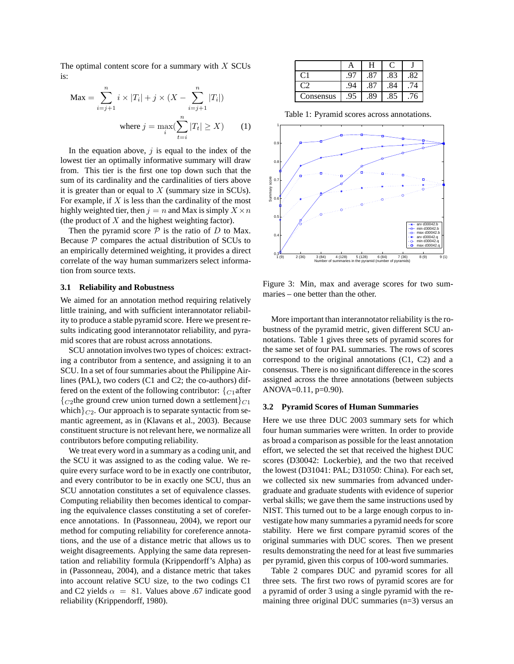The optimal content score for a summary with  $X$  SCUs is:

$$
\text{Max} = \sum_{i=j+1}^{n} i \times |T_i| + j \times (X - \sum_{i=j+1}^{n} |T_i|)
$$
\n
$$
\text{where } j = \max_{i} (\sum_{t=i}^{n} |T_t| \ge X) \qquad (1)
$$

In the equation above,  $j$  is equal to the index of the lowest tier an optimally informative summary will draw from. This tier is the first one top down such that the sum of its cardinality and the cardinalities of tiers above it is greater than or equal to  $X$  (summary size in SCUs). For example, if  $X$  is less than the cardinality of the most highly weighted tier, then  $j = n$  and Max is simply  $X \times n$ (the product of  $X$  and the highest weighting factor).

Then the pyramid score  $P$  is the ratio of  $D$  to Max. Because  $P$  compares the actual distribution of SCUs to an empirically determined weighting, it provides a direct correlate of the way human summarizers select information from source texts.

#### **3.1 Reliability and Robustness**

We aimed for an annotation method requiring relatively little training, and with sufficient interannotator reliability to produce a stable pyramid score. Here we present results indicating good interannotator reliability, and pyramid scores that are robust across annotations.

SCU annotation involves two types of choices: extracting a contributor from a sentence, and assigning it to an SCU. In a set of four summaries about the Philippine Airlines (PAL), two coders (C1 and C2; the co-authors) differed on the extent of the following contributor:  ${C_1}$ after  ${C_2}$ the ground crew union turned down a settlement ${C_1}$ which $\}_{C2}$ . Our approach is to separate syntactic from semantic agreement, as in (Klavans et al., 2003). Because constituent structure is not relevant here, we normalize all contributors before computing reliability.

We treat every word in a summary as a coding unit, and the SCU it was assigned to as the coding value. We require every surface word to be in exactly one contributor, and every contributor to be in exactly one SCU, thus an SCU annotation constitutes a set of equivalence classes. Computing reliability then becomes identical to comparing the equivalence classes constituting a set of coreference annotations. In (Passonneau, 2004), we report our method for computing reliability for coreference annotations, and the use of a distance metric that allows us to weight disagreements. Applying the same data representation and reliability formula (Krippendorff's Alpha) as in (Passonneau, 2004), and a distance metric that takes into account relative SCU size, to the two codings C1 and C2 yields  $\alpha = 81$ . Values above .67 indicate good reliability (Krippendorff, 1980).

|                | A  | H   |     |     |
|----------------|----|-----|-----|-----|
| C <sub>1</sub> |    |     | .83 | .82 |
|                |    | .87 | .84 | ′4  |
| Consensus      | 95 | .89 | .85 | '6  |

Table 1: Pyramid scores across annotations.



Figure 3: Min, max and average scores for two summaries – one better than the other.

More important than interannotator reliability is the robustness of the pyramid metric, given different SCU annotations. Table 1 gives three sets of pyramid scores for the same set of four PAL summaries. The rows of scores correspond to the original annotations (C1, C2) and a consensus. There is no significant difference in the scores assigned across the three annotations (between subjects ANOVA= $0.11$ , p= $0.90$ ).

#### **3.2 Pyramid Scores of Human Summaries**

Here we use three DUC 2003 summary sets for which four human summaries were written. In order to provide as broad a comparison as possible for the least annotation effort, we selected the set that received the highest DUC scores (D30042: Lockerbie), and the two that received the lowest (D31041: PAL; D31050: China). For each set, we collected six new summaries from advanced undergraduate and graduate students with evidence of superior verbal skills; we gave them the same instructions used by NIST. This turned out to be a large enough corpus to investigate how many summaries a pyramid needs for score stability. Here we first compare pyramid scores of the original summaries with DUC scores. Then we present results demonstrating the need for at least five summaries per pyramid, given this corpus of 100-word summaries.

Table 2 compares DUC and pyramid scores for all three sets. The first two rows of pyramid scores are for a pyramid of order 3 using a single pyramid with the remaining three original DUC summaries (n=3) versus an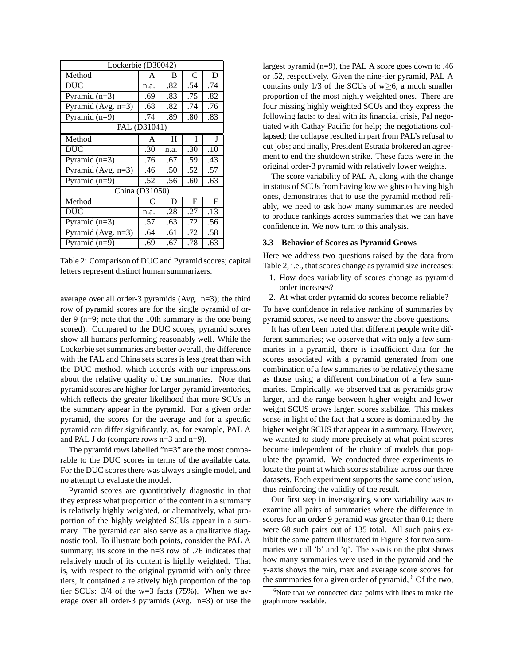| Lockerbie (D30042)    |      |      |     |             |
|-----------------------|------|------|-----|-------------|
| Method                | A    | B    | C   | D           |
| <b>DUC</b>            | n.a. | .82  | .54 | .74         |
| Pyramid $(n=3)$       | .69  | .83  | .75 | .82         |
| Pyramid (Avg. $n=3$ ) | .68  | .82  | .74 | .76         |
| Pyramid $(n=9)$       | .74  | .89  | .80 | .83         |
| PAL (D31041)          |      |      |     |             |
| Method                | A    | H    | Ī   | J           |
| <b>DUC</b>            | .30  | n.a. | .30 | .10         |
| Pyramid $(n=3)$       | .76  | .67  | .59 | .43         |
| Pyramid (Avg. $n=3$ ) | .46  | .50  | .52 | .57         |
| Pyramid $(n=9)$       | .52  | .56  | .60 | .63         |
| China (D31050)        |      |      |     |             |
| Method                | C    | D    | E   | $\mathbf F$ |
| <b>DUC</b>            | n.a. | .28  | .27 | .13         |
| Pyramid $(n=3)$       | .57  | .63  | .72 | .56         |
| Pyramid (Avg. $n=3$ ) | .64  | .61  | .72 | .58         |
| Pyramid $(n=9)$       | .69  | .67  | .78 | .63         |

Table 2: Comparison of DUC and Pyramid scores; capital letters represent distinct human summarizers.

average over all order-3 pyramids (Avg. n=3); the third row of pyramid scores are for the single pyramid of order 9 (n=9; note that the 10th summary is the one being scored). Compared to the DUC scores, pyramid scores show all humans performing reasonably well. While the Lockerbie set summaries are better overall, the difference with the PAL and China sets scores is less great than with the DUC method, which accords with our impressions about the relative quality of the summaries. Note that pyramid scores are higher for larger pyramid inventories, which reflects the greater likelihood that more SCUs in the summary appear in the pyramid. For a given order pyramid, the scores for the average and for a specific pyramid can differ significantly, as, for example, PAL A and PAL J do (compare rows n=3 and n=9).

The pyramid rows labelled "n=3" are the most comparable to the DUC scores in terms of the available data. For the DUC scores there was always a single model, and no attempt to evaluate the model.

Pyramid scores are quantitatively diagnostic in that they express what proportion of the content in a summary is relatively highly weighted, or alternatively, what proportion of the highly weighted SCUs appear in a summary. The pyramid can also serve as a qualitative diagnostic tool. To illustrate both points, consider the PAL A summary; its score in the n=3 row of .76 indicates that relatively much of its content is highly weighted. That is, with respect to the original pyramid with only three tiers, it contained a relatively high proportion of the top tier SCUs: 3/4 of the w=3 facts (75%). When we average over all order-3 pyramids (Avg. n=3) or use the largest pyramid (n=9), the PAL A score goes down to .46 or .52, respectively. Given the nine-tier pyramid, PAL A contains only 1/3 of the SCUs of  $w \ge 6$ , a much smaller proportion of the most highly weighted ones. There are four missing highly weighted SCUs and they express the following facts: to deal with its financial crisis, Pal negotiated with Cathay Pacific for help; the negotiations collapsed; the collapse resulted in part from PAL's refusal to cut jobs; and finally, President Estrada brokered an agreement to end the shutdown strike. These facts were in the original order-3 pyramid with relatively lower weights.

The score variability of PAL A, along with the change in status of SCUs from having low weights to having high ones, demonstrates that to use the pyramid method reliably, we need to ask how many summaries are needed to produce rankings across summaries that we can have confidence in. We now turn to this analysis.

#### **3.3 Behavior of Scores as Pyramid Grows**

Here we address two questions raised by the data from Table 2, i.e., that scores change as pyramid size increases:

- 1. How does variability of scores change as pyramid order increases?
- 2. At what order pyramid do scores become reliable?

To have confidence in relative ranking of summaries by pyramid scores, we need to answer the above questions.

It has often been noted that different people write different summaries; we observe that with only a few summaries in a pyramid, there is insufficient data for the scores associated with a pyramid generated from one combination of a few summaries to be relatively the same as those using a different combination of a few summaries. Empirically, we observed that as pyramids grow larger, and the range between higher weight and lower weight SCUS grows larger, scores stabilize. This makes sense in light of the fact that a score is dominated by the higher weight SCUS that appear in a summary. However, we wanted to study more precisely at what point scores become independent of the choice of models that populate the pyramid. We conducted three experiments to locate the point at which scores stabilize across our three datasets. Each experiment supports the same conclusion, thus reinforcing the validity of the result.

Our first step in investigating score variability was to examine all pairs of summaries where the difference in scores for an order 9 pyramid was greater than 0.1; there were 68 such pairs out of 135 total. All such pairs exhibit the same pattern illustrated in Figure 3 for two summaries we call 'b' and 'q'. The x-axis on the plot shows how many summaries were used in the pyramid and the y-axis shows the min, max and average score scores for the summaries for a given order of pyramid,  $6$  Of the two,

<sup>&</sup>lt;sup>6</sup>Note that we connected data points with lines to make the graph more readable.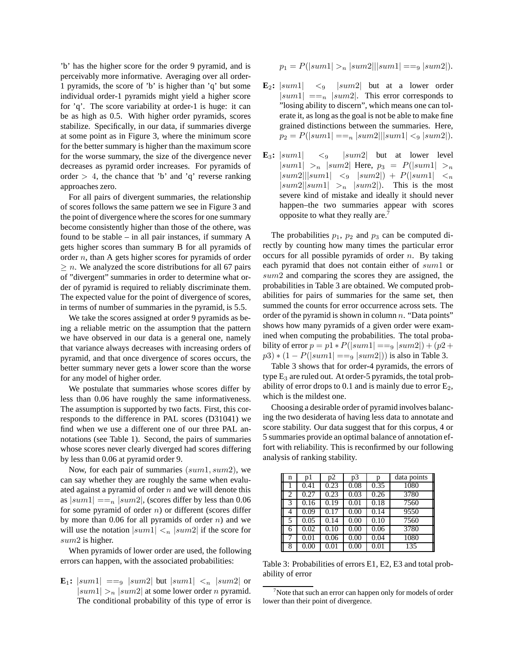'b' has the higher score for the order 9 pyramid, and is perceivably more informative. Averaging over all order-1 pyramids, the score of 'b' is higher than 'q' but some individual order-1 pyramids might yield a higher score for 'q'. The score variability at order-1 is huge: it can be as high as 0.5. With higher order pyramids, scores stabilize. Specifically, in our data, if summaries diverge at some point as in Figure 3, where the minimum score for the better summary is higher than the maximum score for the worse summary, the size of the divergence never decreases as pyramid order increases. For pyramids of order  $> 4$ , the chance that 'b' and 'q' reverse ranking approaches zero.

For all pairs of divergent summaries, the relationship of scores follows the same pattern we see in Figure 3 and the point of divergence where the scores for one summary become consistently higher than those of the othere, was found to be stable – in all pair instances, if summary A gets higher scores than summary B for all pyramids of order n, than A gets higher scores for pyramids of order  $\geq n$ . We analyzed the score distributions for all 67 pairs of "divergent" summaries in order to determine what order of pyramid is required to reliably discriminate them. The expected value for the point of divergence of scores, in terms of number of summaries in the pyramid, is 5.5.

We take the scores assigned at order 9 pyramids as being a reliable metric on the assumption that the pattern we have observed in our data is a general one, namely that variance always decreases with increasing orders of pyramid, and that once divergence of scores occurs, the better summary never gets a lower score than the worse for any model of higher order.

We postulate that summaries whose scores differ by less than 0.06 have roughly the same informativeness. The assumption is supported by two facts. First, this corresponds to the difference in PAL scores (D31041) we find when we use a different one of our three PAL annotations (see Table 1). Second, the pairs of summaries whose scores never clearly diverged had scores differing by less than 0.06 at pyramid order 9.

Now, for each pair of summaries  $(sum1, sum2)$ , we can say whether they are roughly the same when evaluated against a pyramid of order  $n$  and we will denote this as  $|sum1| == n |sum2|$ , (scores differ by less than 0.06 for some pyramid of order  $n$ ) or different (scores differ by more than 0.06 for all pyramids of order  $n$ ) and we will use the notation  $|sum1| <sub>n</sub> |sum2|$  if the score for sum2 is higher.

When pyramids of lower order are used, the following errors can happen, with the associated probabilities:

 $\mathbf{E}_1$ :  $|sum1| ==_9$   $|sum2|$  but  $|sum1| <_n$   $|sum2|$  or  $|sum1| >_n |sum2|$  at some lower order *n* pyramid. The conditional probability of this type of error is

$$
p_1 = P(|sum1| >_n |sum2||sum1| ==_9 |sum2|).
$$

- $\mathbf{E}_2$ :  $|sum1| < 9$  |sum2| but at a lower order  $|sum1| ==<sub>n</sub> |sum2|$ . This error corresponds to "losing ability to discern", which means one can tolerate it, as long as the goal is not be able to make fine grained distinctions between the summaries. Here,  $p_2 = P(|sum1| == n |sum2||sum1| <sub>9</sub> |sum2|).$
- **E**<sub>3</sub>:  $|sum1|$  <9  $|sum2|$  but at lower level |sum1|  $>_{n}$  |sum2| Here,  $p_{3} = P(|sum1| >_{n}$  $|sum2||sum1| \leq 9$   $|sum2| \geq P(|sum1| \leq n$  $|sum2||sum1| >_n$  |sum2|). This is the most severe kind of mistake and ideally it should never happen–the two summaries appear with scores opposite to what they really are.7

The probabilities  $p_1$ ,  $p_2$  and  $p_3$  can be computed directly by counting how many times the particular error occurs for all possible pyramids of order  $n$ . By taking each pyramid that does not contain either of sum1 or sum2 and comparing the scores they are assigned, the probabilities in Table 3 are obtained. We computed probabilities for pairs of summaries for the same set, then summed the counts for error occurrence across sets. The order of the pyramid is shown in column  $n$ . "Data points" shows how many pyramids of a given order were examined when computing the probabilities. The total probability of error  $p = p1 * P(|sum1| == 9 |sum2|) + (p2 +$  $p3$  \*  $(1 - P(|sum1| == 9 |sum2|))$  is also in Table 3.

Table 3 shows that for order-4 pyramids, the errors of type  $E_3$  are ruled out. At order-5 pyramids, the total probability of error drops to 0.1 and is mainly due to error  $E_2$ , which is the mildest one.

Choosing a desirable order of pyramid involves balancing the two desiderata of having less data to annotate and score stability. Our data suggest that for this corpus, 4 or 5 summaries provide an optimal balance of annotation effort with reliability. This is reconfirmed by our following analysis of ranking stability.

| n | p1                | p2   | p3   | p                 | data points |
|---|-------------------|------|------|-------------------|-------------|
|   | 0.41              | 0.23 | 0.08 | 0.35              | 1080        |
| 2 | 0.27              | 0.23 | 0.03 | 0.26              | 3780        |
| 3 | $\overline{0.16}$ | 0.19 | 0.01 | $\overline{0.18}$ | 7560        |
| 4 | 0.09              | 0.17 | 0.00 | 0.14              | 9550        |
| 5 | 0.05              | 0.14 | 0.00 | 0.10              | 7560        |
| 6 | 0.02              | 0.10 | 0.00 | 0.06              | 3780        |
|   | 0.01              | 0.06 | 0.00 | 0.04              | 1080        |
| 8 | 0.00              | 0.01 | 0.00 | 0.01              | 135         |

Table 3: Probabilities of errors E1, E2, E3 and total probability of error

 $7$  Note that such an error can happen only for models of order lower than their point of divergence.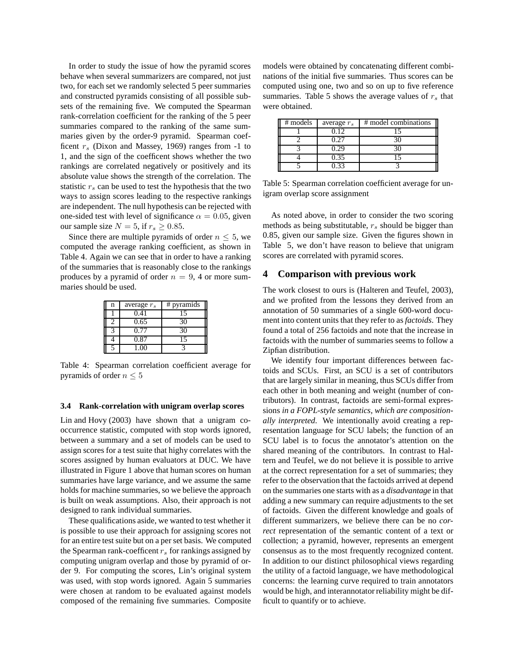In order to study the issue of how the pyramid scores behave when several summarizers are compared, not just two, for each set we randomly selected 5 peer summaries and constructed pyramids consisting of all possible subsets of the remaining five. We computed the Spearman rank-correlation coefficient for the ranking of the 5 peer summaries compared to the ranking of the same summaries given by the order-9 pyramid. Spearman coefficent  $r<sub>s</sub>$  (Dixon and Massey, 1969) ranges from -1 to 1, and the sign of the coefficent shows whether the two rankings are correlated negatively or positively and its absolute value shows the strength of the correlation. The statistic  $r<sub>s</sub>$  can be used to test the hypothesis that the two ways to assign scores leading to the respective rankings are independent. The null hypothesis can be rejected with one-sided test with level of significance  $\alpha = 0.05$ , given our sample size  $N = 5$ , if  $r_s \geq 0.85$ .

Since there are multiple pyramids of order  $n \leq 5$ , we computed the average ranking coefficient, as shown in Table 4. Again we can see that in order to have a ranking of the summaries that is reasonably close to the rankings produces by a pyramid of order  $n = 9$ , 4 or more summaries should be used.

| n | average $r_s$ | # pyramids |
|---|---------------|------------|
|   | 0.41          | 15         |
|   | 0.65          | 30         |
|   | 0.77          | 30         |
|   | 0.87          | 15         |
|   | 1.00          |            |

Table 4: Spearman correlation coefficient average for pyramids of order  $n \leq 5$ 

#### **3.4 Rank-correlation with unigram overlap scores**

Lin and Hovy (2003) have shown that a unigram cooccurrence statistic, computed with stop words ignored, between a summary and a set of models can be used to assign scores for a test suite that highy correlates with the scores assigned by human evaluators at DUC. We have illustrated in Figure 1 above that human scores on human summaries have large variance, and we assume the same holds for machine summaries, so we believe the approach is built on weak assumptions. Also, their approach is not designed to rank individual summaries.

These qualifications aside, we wanted to test whether it is possible to use their approach for assigning scores not for an entire test suite but on a per set basis. We computed the Spearman rank-coefficent  $r<sub>s</sub>$  for rankings assigned by computing unigram overlap and those by pyramid of order 9. For computing the scores, Lin's original system was used, with stop words ignored. Again 5 summaries were chosen at random to be evaluated against models composed of the remaining five summaries. Composite models were obtained by concatenating different combinations of the initial five summaries. Thus scores can be computed using one, two and so on up to five reference summaries. Table 5 shows the average values of  $r_s$  that were obtained.

| # models | average $r_s$ | # model combinations |
|----------|---------------|----------------------|
|          | 0.12          |                      |
|          |               |                      |
|          | 0.29          |                      |
|          | 0.35          |                      |
|          |               |                      |

Table 5: Spearman correlation coefficient average for unigram overlap score assignment

As noted above, in order to consider the two scoring methods as being substitutable,  $r_s$  should be bigger than 0.85, given our sample size. Given the figures shown in Table 5, we don't have reason to believe that unigram scores are correlated with pyramid scores.

### **4 Comparison with previous work**

The work closest to ours is (Halteren and Teufel, 2003), and we profited from the lessons they derived from an annotation of 50 summaries of a single 600-word document into content units that they refer to as *factoids*. They found a total of 256 factoids and note that the increase in factoids with the number of summaries seems to follow a Zipfian distribution.

We identify four important differences between factoids and SCUs. First, an SCU is a set of contributors that are largely similar in meaning, thus SCUs differ from each other in both meaning and weight (number of contributors). In contrast, factoids are semi-formal expressions *in a FOPL-style semantics, which are compositionally interpreted.* We intentionally avoid creating a representation language for SCU labels; the function of an SCU label is to focus the annotator's attention on the shared meaning of the contributors. In contrast to Haltern and Teufel, we do not believe it is possible to arrive at the correct representation for a set of summaries; they refer to the observation that the factoids arrived at depend on the summaries one starts with as a *disadvantage* in that adding a new summary can require adjustments to the set of factoids. Given the different knowledge and goals of different summarizers, we believe there can be no *correct* representation of the semantic content of a text or collection; a pyramid, however, represents an emergent consensus as to the most frequently recognized content. In addition to our distinct philosophical views regarding the utility of a factoid language, we have methodological concerns: the learning curve required to train annotators would be high, and interannotator reliability might be difficult to quantify or to achieve.